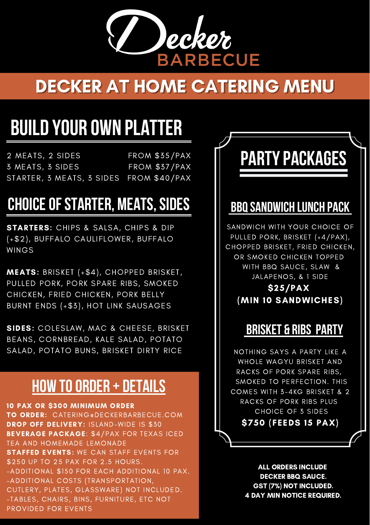

### DECKER AT HOME CATERING MENU

# **BUILD YOUR OWN PLATTER**

2 MEATS, 2 SIDES 3 MEATS, 3 SIDES STARTER, 3 MEATS, 3 SIDES FROM \$40/PAX FROM \$35/PAX FROM \$37/PAX

### **CHOICEOFSTARTER, MEATS,SIDES**

**STARTERS:** CHIPS & SALSA, CHIPS & DIP (+\$2), BUFFALO CAULIFLOWER, BUFFALO WINGS

MEATS: BRISKET (+\$4), CHOPPED BRISKET, PULLED PORK, PORK SPARE RIBS, SMOKED CHICKEN, FRIED CHICKEN, PORK BELLY BURNT ENDS (+\$3), HOT LINK SAUSAGES

SIDES: COLESLAW, MAC & CHEESE, BRISKET BEANS, CORNBREAD, KALE SALAD, POTATO SALAD, POTATO BUNS, BRISKET DIRTY RICE

### **HOW TOORDER + DETAILS**

10 PAX OR \$300 MINIMUM ORDER TO ORDER: CATERING@DECKERBARBECUE.COM DROP OFF DELIVERY: ISLAND-WIDE IS \$30 BEVERAGE PACKAGE: \$4/PAX FOR TEXAS ICED TEA AND HOMEMADE LEMONADE **STAFFED EVENTS: WE CAN STAFF EVENTS FOR** \$250 UP TO 25 PAX FOR 2.5 HOURS. -ADDITIONAL \$150 FOR EACH ADDITIONAL 10 PAX. -ADDITIONAL COSTS (TRANSPORTATION, CUTLERY, PLATES, GLASSWARE) NOT INCLUDED. -TABLES, CHAIRS, BINS, FURNITURE, ETC NOT PROVIDED FOR EVENTS

# **PARTY PACKAGES**

#### **BBQSANDWICH LUNCH PACK**

SANDWICH WITH YOUR CHOICE OF PULLED PORK, BRISKET (+4/PAX), CHOPPED BRISKET, FRIED CHICKEN, OR SMOKED CHICKEN TOPPED WITH BBQ SAUCE, SLAW & JALAPENOS, & 1 SIDE

\$25/PAX (MIN 10 SANDWICHES)

#### **BRISKET & RIBS PARTY**

NOTHING SAYS A PARTY LIKE A WHOLE WAGYU BRISKET AND RACKS OF PORK SPARE RIBS, SMOKED TO PERFECTION. THIS COMES WITH 3-4KG BRISKET & 2 RACKS OF PORK RIBS PLUS CHOICE OF 3 SIDES \$750 (FEEDS 15 PAX)

> ALL ORDERS INCLUDE DECKER BBQ SAUCE. GST (7%) NOT INCLUDED. 4 DAY MIN NOTICE REQUIRED.